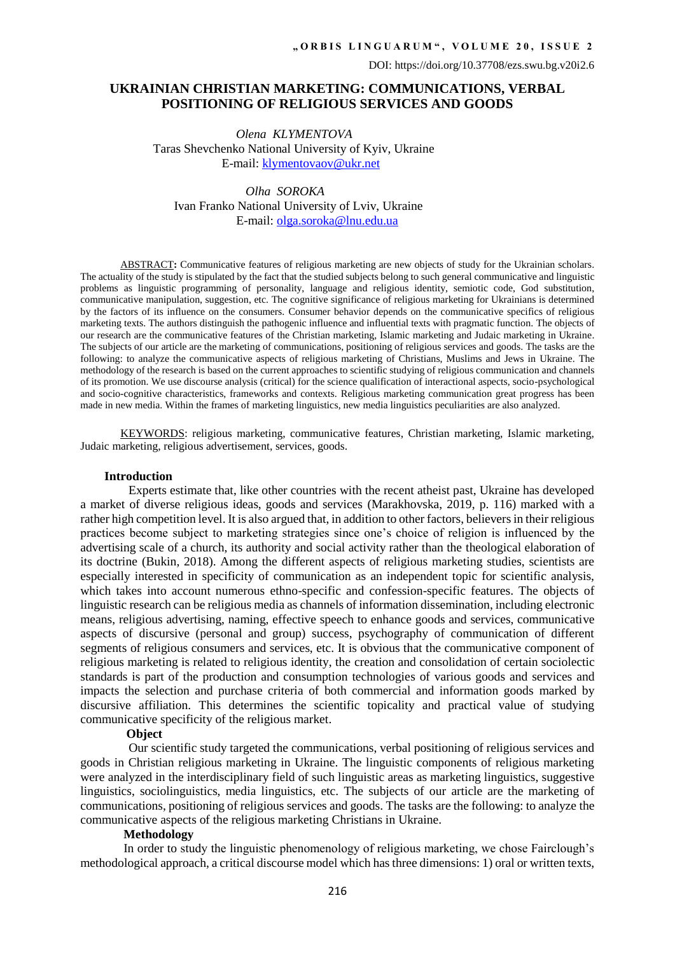## **UKRAINIAN CHRISTIAN MARKETING: COMMUNICATIONS, VERBAL POSITIONING OF RELIGIOUS SERVICES AND GOODS**

 *Olena KLYMENTOVA* Taras Shevchenko National University of Kyiv, Ukraine E-mail: [klymentovaov@ukr.net](mailto:klymentovaov@ukr.net)

 *Olha SOROKA* Ivan Franko National University of Lviv, Ukraine E-mail: [olga.soroka@lnu.edu.ua](mailto:olga.soroka@lnu.edu.ua)

ABSTRACT**:** Communicative features of religious marketing are new objects of study for the Ukrainian scholars. The actuality of the study is stipulated by the fact that the studied subjects belong to such general communicative and linguistic problems as linguistic programming of personality, language and religious identity, semiotic code, God substitution, communicative manipulation, suggestion, etc. The cognitive significance of religious marketing for Ukrainians is determined by the factors of its influence on the consumers. Consumer behavior depends on the communicative specifics of religious marketing texts. The authors distinguish the pathogenic influence and influential texts with pragmatic function. The objects of our research are the communicative features of the Christian marketing, Islamic marketing and Judaic marketing in Ukraine. The subjects of our article are the marketing of communications, positioning of religious services and goods. The tasks are the following: to analyze the communicative aspects of religious marketing of Christians, Muslims and Jews in Ukraine. The methodology of the research is based on the current approaches to scientific studying of religious communication and channels of its promotion. We use discourse analysis (critical) for the science qualification of interactional aspects, socio-psychological and socio-cognitive characteristics, frameworks and contexts. Religious marketing communication great progress has been made in new media. Within the frames of marketing linguistics, new media linguistics peculiarities are also analyzed.

KEYWORDS: religious marketing, communicative features, Christian marketing, Islamic marketing, Judaic marketing, religious advertisement, services, goods.

#### **Introduction**

Experts estimate that, like other countries with the recent atheist past, Ukraine has developed a market of diverse religious ideas, goods and services (Marakhovska, 2019, p. 116) marked with a rather high competition level. It is also argued that, in addition to other factors, believers in their religious practices become subject to marketing strategies since one's choice of religion is influenced by the advertising scale of a church, its authority and social activity rather than the theological elaboration of its doctrine (Bukin, 2018). Among the different aspects of religious marketing studies, scientists are especially interested in specificity of communication as an independent topic for scientific analysis, which takes into account numerous ethno-specific and confession-specific features. The objects of linguistic research can be religious media as channels of information dissemination, including electronic means, religious advertising, naming, effective speech to enhance goods and services, communicative aspects of discursive (personal and group) success, psychography of communication of different segments of religious consumers and services, etc. It is obvious that the communicative component of religious marketing is related to religious identity, the creation and consolidation of certain sociolectic standards is part of the production and consumption technologies of various goods and services and impacts the selection and purchase criteria of both commercial and information goods marked by discursive affiliation. This determines the scientific topicality and practical value of studying communicative specificity of the religious market.

### **Object**

Our scientific study targeted the communications, verbal positioning of religious services and goods in Christian religious marketing in Ukraine. The linguistic components of religious marketing were analyzed in the interdisciplinary field of such linguistic areas as marketing linguistics, suggestive linguistics, sociolinguistics, media linguistics, etc. The subjects of our article are the marketing of communications, positioning of religious services and goods. The tasks are the following: to analyze the communicative aspects of the religious marketing Christians in Ukraine.

### **Methodology**

In order to study the linguistic phenomenology of religious marketing, we chose Fairclough's methodological approach, a critical discourse model which has three dimensions: 1) oral or written texts,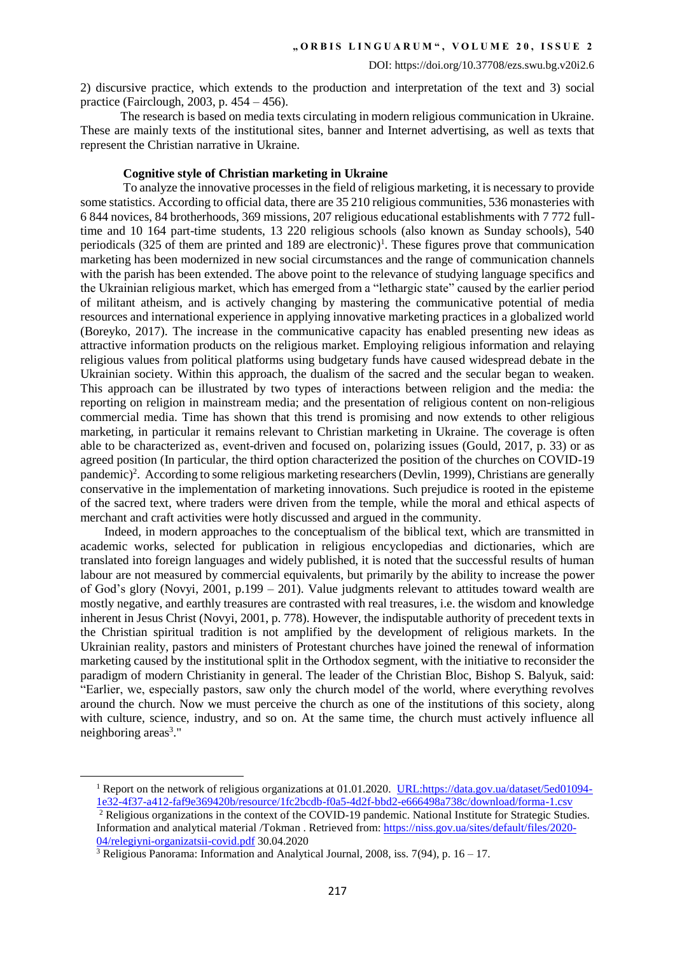2) discursive practice, which extends to the production and interpretation of the text and 3) social practice (Fairclough, 2003, p. 454 – 456).

The research is based on media texts circulating in modern religious communication in Ukraine. These are mainly texts of the institutional sites, banner and Internet advertising, as well as texts that represent the Christian narrative in Ukraine.

### **Cognitive style of Christian marketing in Ukraine**

To analyze the innovative processes in the field of religious marketing, it is necessary to provide some statistics. According to official data, there are 35 210 religious communities, 536 monasteries with 6 844 novices, 84 brotherhoods, 369 missions, 207 religious educational establishments with 7 772 fulltime and 10 164 part-time students, 13 220 religious schools (also known as Sunday schools), 540 periodicals  $(325)$  of them are printed and 189 are electronic)<sup>1</sup>. These figures prove that communication marketing has been modernized in new social circumstances and the range of communication channels with the parish has been extended. The above point to the relevance of studying language specifics and the Ukrainian religious market, which has emerged from a "lethargic state" caused by the earlier period of militant atheism, and is actively changing by mastering the communicative potential of media resources and international experience in applying innovative marketing practices in a globalized world (Boreyko, 2017). The increase in the communicative capacity has enabled presenting new ideas as attractive information products on the religious market. Employing religious information and relaying religious values from political platforms using budgetary funds have caused widespread debate in the Ukrainian society. Within this approach, the dualism of the sacred and the secular began to weaken. This approach can be illustrated by two types of interactions between religion and the media: the reporting on religion in mainstream media; and the presentation of religious content on non-religious commercial media. Time has shown that this trend is promising and now extends to other religious marketing, in particular it remains relevant to Christian marketing in Ukraine. The coverage is often able to be characterized as, event-driven and focused on, polarizing issues (Gould, 2017, p. 33) or as agreed position (In particular, the third option characterized the position of the churches on COVID-19 pandemic) 2 . According to some religious marketing researchers (Devlin, 1999), Christians are generally conservative in the implementation of marketing innovations. Such prejudice is rooted in the episteme of the sacred text, where traders were driven from the temple, while the moral and ethical aspects of merchant and craft activities were hotly discussed and argued in the community.

Indeed, in modern approaches to the conceptualism of the biblical text, which are transmitted in academic works, selected for publication in religious encyclopedias and dictionaries, which are translated into foreign languages and widely published, it is noted that the successful results of human labour are not measured by commercial equivalents, but primarily by the ability to increase the power of God's glory (Novyi, 2001, p.199 – 201). Value judgments relevant to attitudes toward wealth are mostly negative, and earthly treasures are contrasted with real treasures, i.e. the wisdom and knowledge inherent in Jesus Christ (Novyi, 2001, p. 778). However, the indisputable authority of precedent texts in the Christian spiritual tradition is not amplified by the development of religious markets. In the Ukrainian reality, pastors and ministers of Protestant churches have joined the renewal of information marketing caused by the institutional split in the Orthodox segment, with the initiative to reconsider the paradigm of modern Christianity in general. The leader of the Christian Bloc, Bishop S. Balyuk, said: "Earlier, we, especially pastors, saw only the church model of the world, where everything revolves around the church. Now we must perceive the church as one of the institutions of this society, along with culture, science, industry, and so on. At the same time, the church must actively influence all neighboring areas<sup>3</sup>."

l

<sup>&</sup>lt;sup>1</sup> Report on the network of religious organizations at 01.01.2020. URL:https://data.gov.ua/dataset/5ed01094-[1e32-4f37-a412-faf9e369420b/resource/1fc2bcdb-f0a5-4d2f-bbd2-e666498a738c/download/forma-1.csv](https://data.gov.ua/dataset/5ed01094-%20%20%20%201e32-4f37-a412-faf9e369420b/resource/1fc2bcdb-f0a5-4d2f-bbd2-e666498a738c/download/forma-1.csv)

<sup>&</sup>lt;sup>2</sup> Religious organizations in the context of the COVID-19 pandemic. National Institute for Strategic Studies. Information and analytical material /Tokman . Retrieved from[: https://niss.gov.ua/sites/default/files/2020-](https://niss.gov.ua/sites/default/files/2020-04/relegiyni-organizatsii-covid.pdf) [04/relegiyni-organizatsii-covid.pdf](https://niss.gov.ua/sites/default/files/2020-04/relegiyni-organizatsii-covid.pdf) 30.04.2020

<sup>&</sup>lt;sup>3</sup> Religious Panorama: Information and Analytical Journal, 2008, iss. 7(94), p.  $16 - 17$ .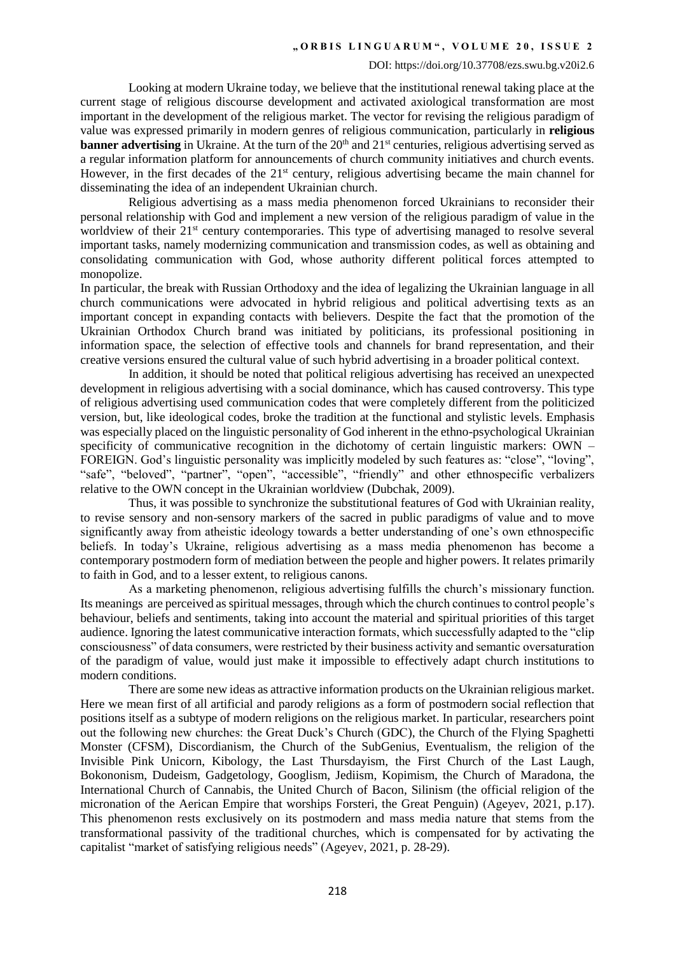Looking at modern Ukraine today, we believe that the institutional renewal taking place at the current stage of religious discourse development and activated axiological transformation are most important in the development of the religious market. The vector for revising the religious paradigm of value was expressed primarily in modern genres of religious communication, particularly in **religious banner advertising** in Ukraine. At the turn of the 20<sup>th</sup> and 21<sup>st</sup> centuries, religious advertising served as a regular information platform for announcements of church community initiatives and church events. However, in the first decades of the 21<sup>st</sup> century, religious advertising became the main channel for disseminating the idea of an independent Ukrainian church.

Religious advertising as a mass media phenomenon forced Ukrainians to reconsider their personal relationship with God and implement a new version of the religious paradigm of value in the worldview of their 21<sup>st</sup> century contemporaries. This type of advertising managed to resolve several important tasks, namely modernizing communication and transmission codes, as well as obtaining and consolidating communication with God, whose authority different political forces attempted to monopolize.

In particular, the break with Russian Orthodoxy and the idea of legalizing the Ukrainian language in all church communications were advocated in hybrid religious and political advertising texts as an important concept in expanding contacts with believers. Despite the fact that the promotion of the Ukrainian Orthodox Church brand was initiated by politicians, its professional positioning in information space, the selection of effective tools and channels for brand representation, and their creative versions ensured the cultural value of such hybrid advertising in a broader political context.

In addition, it should be noted that political religious advertising has received an unexpected development in religious advertising with a social dominance, which has caused controversy. This type of religious advertising used communication codes that were completely different from the politicized version, but, like ideological codes, broke the tradition at the functional and stylistic levels. Emphasis was especially placed on the linguistic personality of God inherent in the ethno-psychological Ukrainian specificity of communicative recognition in the dichotomy of certain linguistic markers: OWN – FOREIGN. God's linguistic personality was implicitly modeled by such features as: "close", "loving", "safe", "beloved", "partner", "open", "accessible", "friendly" and other ethnospecific verbalizers relative to the OWN concept in the Ukrainian worldview (Dubchak, 2009).

Thus, it was possible to synchronize the substitutional features of God with Ukrainian reality, to revise sensory and non-sensory markers of the sacred in public paradigms of value and to move significantly away from atheistic ideology towards a better understanding of one's own ethnospecific beliefs. In today's Ukraine, religious advertising as a mass media phenomenon has become a contemporary postmodern form of mediation between the people and higher powers. It relates primarily to faith in God, and to a lesser extent, to religious canons.

As a marketing phenomenon, religious advertising fulfills the church's missionary function. Its meanings are perceived as spiritual messages, through which the church continues to control people's behaviour, beliefs and sentiments, taking into account the material and spiritual priorities of this target audience. Ignoring the latest communicative interaction formats, which successfully adapted to the "clip consciousness" of data consumers, were restricted by their business activity and semantic oversaturation of the paradigm of value, would just make it impossible to effectively adapt church institutions to modern conditions.

There are some new ideas as attractive information products on the Ukrainian religious market. Here we mean first of all artificial and parody religions as a form of postmodern social reflection that positions itself as a subtype of modern religions on the religious market. In particular, researchers point out the following new churches: the Great Duck's Church (GDC), the Church of the Flying Spaghetti Monster (CFSM), Discordianism, the Church of the SubGenius, Eventualism, the religion of the Invisible Pink Unicorn, Kibology, the Last Thursdayism, the First Church of the Last Laugh, Bokononism, Dudeism, Gadgetology, Googlism, Jediism, Kopimism, the Church of Maradona, the International Church of Cannabis, the United Church of Bacon, Silinism (the official religion of the micronation of the Aerican Empire that worships Forsteri, the Great Penguin) (Аgeyev, 2021, p.17). This phenomenon rests exclusively on its postmodern and mass media nature that stems from the transformational passivity of the traditional churches, which is compensated for by activating the capitalist "market of satisfying religious needs" (Аgeyev, 2021, p. 28-29).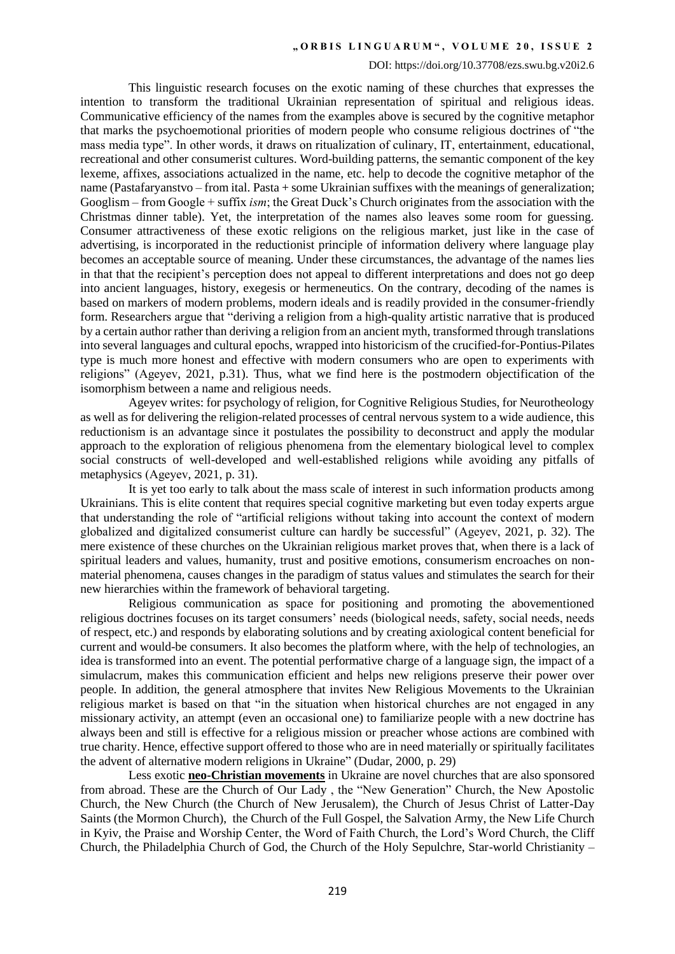### DOI: https://doi.org/10.37708/ezs.swu.bg.v20i2.6

This linguistic research focuses on the exotic naming of these churches that expresses the intention to transform the traditional Ukrainian representation of spiritual and religious ideas. Communicative efficiency of the names from the examples above is secured by the cognitive metaphor that marks the psychoemotional priorities of modern people who consume religious doctrines of "the mass media type". In other words, it draws on ritualization of culinary, IT, entertainment, educational, recreational and other consumerist cultures. Word-building patterns, the semantic component of the key lexeme, affixes, associations actualized in the name, etc. help to decode the cognitive metaphor of the name (Pastafaryanstvo – from ital. Pasta + some Ukrainian suffixes with the meanings of generalization; Googlism – from Googlе + suffix *іsm*; the Great Duck's Church originates from the association with the Christmas dinner table). Yet, the interpretation of the names also leaves some room for guessing. Consumer attractiveness of these exotic religions on the religious market, just like in the case of advertising, is incorporated in the reductionist principle of information delivery where language play becomes an acceptable source of meaning. Under these circumstances, the advantage of the names lies in that that the recipient's perception does not appeal to different interpretations and does not go deep into ancient languages, history, exegesis or hermeneutics. On the contrary, decoding of the names is based on markers of modern problems, modern ideals and is readily provided in the consumer-friendly form. Researchers argue that "deriving a religion from a high-quality artistic narrative that is produced by a certain author rather than deriving a religion from an ancient myth, transformed through translations into several languages and cultural epochs, wrapped into historicism of the crucified-for-Pontius-Pilates type is much more honest and effective with modern consumers who are open to experiments with religions" (Аgeyev, 2021, p.31). Thus, what we find here is the postmodern objectification of the isomorphism between a name and religious needs.

Ageyev writes: for psychology of religion, for Cognitive Religious Studies, for Neurotheology as well as for delivering the religion-related processes of central nervous system to a wide audience, this reductionism is an advantage since it postulates the possibility to deconstruct and apply the modular approach to the exploration of religious phenomena from the elementary biological level to complex social constructs of well-developed and well-established religions while avoiding any pitfalls of metaphysics (Аgeyev, 2021, p. 31).

It is yet too early to talk about the mass scale of interest in such information products among Ukrainians. This is elite content that requires special cognitive marketing but even today experts argue that understanding the role of "artificial religions without taking into account the context of modern globalized and digitalized consumerist culture can hardly be successful" (Аgeyev, 2021, p. 32). The mere existence of these churches on the Ukrainian religious market proves that, when there is a lack of spiritual leaders and values, humanity, trust and positive emotions, consumerism encroaches on nonmaterial phenomena, causes changes in the paradigm of status values and stimulates the search for their new hierarchies within the framework of behavioral targeting.

Religious communication as space for positioning and promoting the abovementioned religious doctrines focuses on its target consumers' needs (biological needs, safety, social needs, needs of respect, etc.) and responds by elaborating solutions and by creating axiological content beneficial for current and would-be consumers. It also becomes the platform where, with the help of technologies, an idea is transformed into an event. The potential performative charge of a language sign, the impact of a simulacrum, makes this communication efficient and helps new religions preserve their power over people. In addition, the general atmosphere that invites New Religious Movements to the Ukrainian religious market is based on that "in the situation when historical churches are not engaged in any missionary activity, an attempt (even an occasional one) to familiarize people with a new doctrine has always been and still is effective for a religious mission or preacher whose actions are combined with true charity. Hence, effective support offered to those who are in need materially or spiritually facilitates the advent of alternative modern religions in Ukraine" (Dudar, 2000, p. 29)

Less exotic **neo-Christian movements** in Ukraine are novel churches that are also sponsored from abroad. These are the Church of Our Lady , the "New Generation" Church, the New Apostolic Church, the New Church (the Church of New Jerusalem), the Church of Jesus Christ of Latter-Day Saints (the Mormon Church), the Church of the Full Gospel, the Salvation Army, the New Life Church in Kyiv, the Praise and Worship Center, the Word of Faith Church, the Lord's Word Church, the Cliff Church, the Philadelphia Church of God, the Church of the Holy Sepulchre, Star-world Christianity –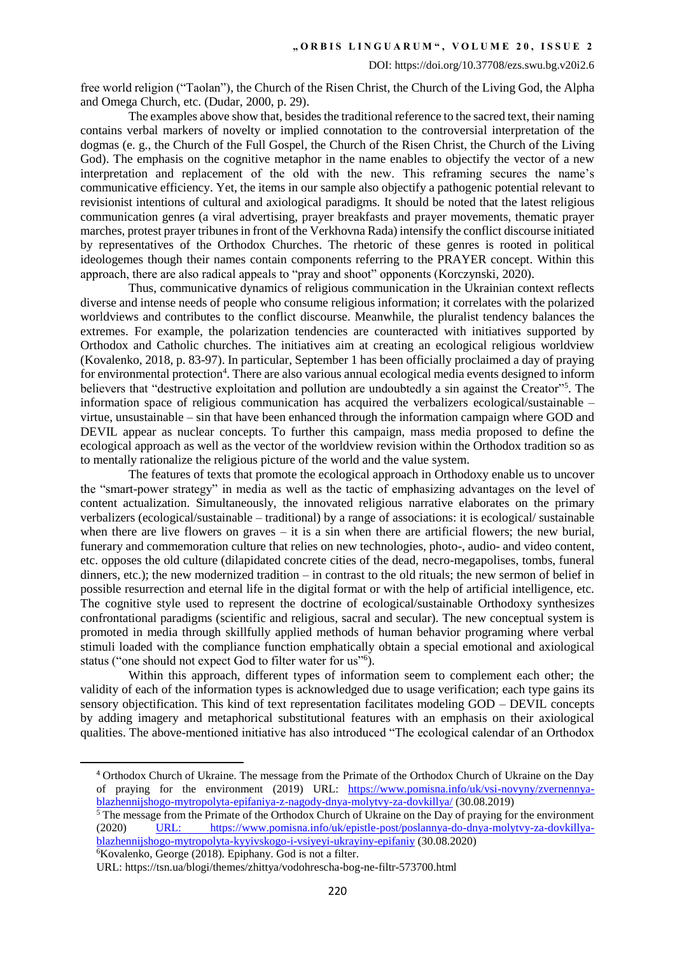free world religion ("Taolan"), the Church of the Risen Christ, the Church of the Living God, the Alpha and Omega Church, etc. (Dudar, 2000, p. 29).

The examples above show that, besides the traditional reference to the sacred text, their naming contains verbal markers of novelty or implied connotation to the controversial interpretation of the dogmas (e. g., the Church of the Full Gospel, the Church of the Risen Christ, the Church of the Living God). The emphasis on the cognitive metaphor in the name enables to objectify the vector of a new interpretation and replacement of the old with the new. This reframing secures the name's communicative efficiency. Yet, the items in our sample also objectify a pathogenic potential relevant to revisionist intentions of cultural and axiological paradigms. It should be noted that the latest religious communication genres (a viral advertising, prayer breakfasts and prayer movements, thematic prayer marches, protest prayer tribunes in front of the Verkhovna Rada) intensify the conflict discourse initiated by representatives of the Orthodox Churches. The rhetoric of these genres is rooted in political ideologemes though their names contain components referring to the PRAYER concept. Within this approach, there are also radical appeals to "pray and shoot" opponents (Korczynski, 2020).

Thus, communicative dynamics of religious communication in the Ukrainian context reflects diverse and intense needs of people who consume religious information; it correlates with the polarized worldviews and contributes to the conflict discourse. Meanwhile, the pluralist tendency balances the extremes. For example, the polarization tendencies are counteracted with initiatives supported by Orthodox and Catholic churches. The initiatives aim at creating an ecological religious worldview (Kovalenko, 2018, p. 83-97). In particular, September 1 has been officially proclaimed a day of praying for environmental protection<sup>4</sup>. There are also various annual ecological media events designed to inform believers that "destructive exploitation and pollution are undoubtedly a sin against the Creator"<sup>5</sup>. The information space of religious communication has acquired the verbalizers ecological/sustainable – virtue, unsustainable – sin that have been enhanced through the information campaign where GOD and DEVIL appear as nuclear concepts. To further this campaign, mass media proposed to define the ecological approach as well as the vector of the worldview revision within the Orthodox tradition so as to mentally rationalize the religious picture of the world and the value system.

The features of texts that promote the ecological approach in Orthodoxy enable us to uncover the "smart-power strategy" in media as well as the tactic of emphasizing advantages on the level of content actualization. Simultaneously, the innovated religious narrative elaborates on the primary verbalizers (ecological/sustainable – traditional) by a range of associations: it is ecological/ sustainable when there are live flowers on graves  $-$  it is a sin when there are artificial flowers; the new burial, funerary and commemoration culture that relies on new technologies, photo-, audio- and video content, etc. opposes the old culture (dilapidated concrete cities of the dead, necro-megapolises, tombs, funeral dinners, etc.); the new modernized tradition – in contrast to the old rituals; the new sermon of belief in possible resurrection and eternal life in the digital format or with the help of artificial intelligence, etc. The cognitive style used to represent the doctrine of ecological/sustainable Orthodoxy synthesizes confrontational paradigms (scientific and religious, sacral and secular). The new conceptual system is promoted in media through skillfully applied methods of human behavior programing where verbal stimuli loaded with the compliance function emphatically obtain a special emotional and axiological status ("one should not expect God to filter water for us"<sup>6</sup>).

Within this approach, different types of information seem to complement each other; the validity of each of the information types is acknowledged due to usage verification; each type gains its sensory objectification. This kind of text representation facilitates modeling GOD – DEVIL concepts by adding imagery and metaphorical substitutional features with an emphasis on their axiological qualities. The above-mentioned initiative has also introduced "The ecological calendar of an Orthodox

 $6Kovalenko$ , George (2018). Epiphany. God is not a filter.

 $\overline{a}$ 

<sup>4</sup> Orthodox Church of Ukraine. The message from the Primate of the Orthodox Church of Ukraine on the Day of praying for the environment (2019) URL: [https://www.pomisna.info/uk/vsi-novyny/zvernennya](https://www.pomisna.info/uk/vsi-novyny/zvernennya-blazhennijshogo-mytropolyta-epifaniya-z-nagody-dnya-molytvy-za-dovkillya/)[blazhennijshogo-mytropolyta-epifaniya-z-nagody-dnya-molytvy-za-dovkillya/](https://www.pomisna.info/uk/vsi-novyny/zvernennya-blazhennijshogo-mytropolyta-epifaniya-z-nagody-dnya-molytvy-za-dovkillya/) (30.08.2019)

<sup>&</sup>lt;sup>5</sup> The message from the Primate of the Orthodox Church of Ukraine on the Day of praying for the environment (2020) URL: https://www.pomisna.info/uk/epistle-post/poslannya-do-dnya-molytvy-za-dovkillyahttps://www.pomisna.info/uk/epistle-post/poslannya-do-dnya-molytvy-za-dovkillya[blazhennijshogo-mytropolyta-kyyivskogo-i-vsiyeyi-ukrayiny-epifaniy](https://www.pomisna.info/uk/epistle-post/poslannya-do-dnya-molytvy-za-dovkillya-blazhennijshogo-mytropolyta-kyyivskogo-i-vsiyeyi-ukrayiny-epifaniy) (30.08.2020)

URL: https://tsn.ua/blogi/themes/zhittya/vodohrescha-bog-ne-filtr-573700.html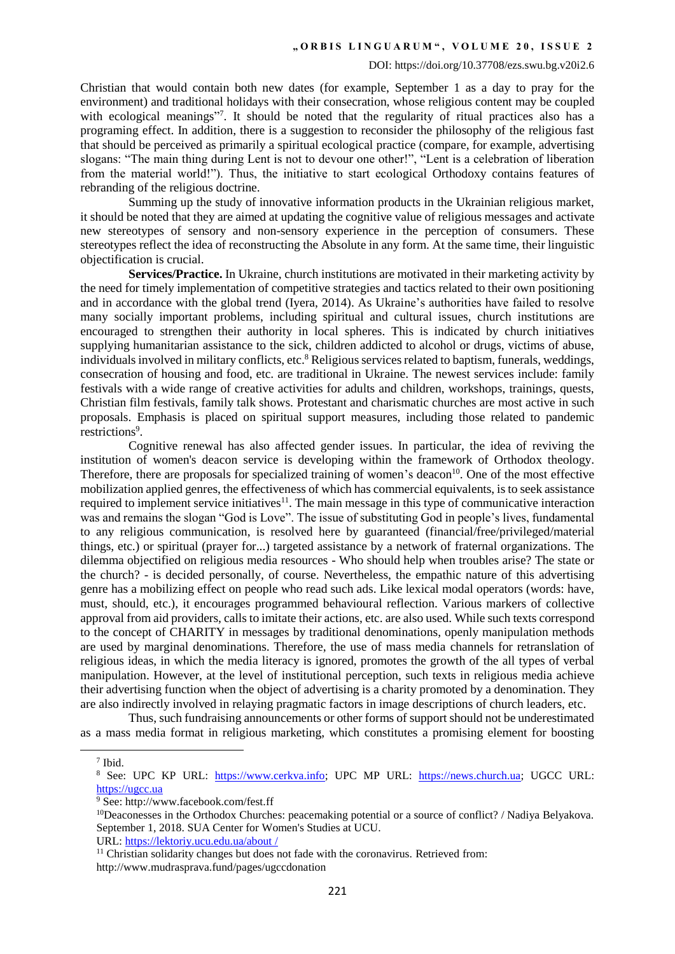Christian that would contain both new dates (for example, September 1 as a day to pray for the environment) and traditional holidays with their consecration, whose religious content may be coupled with ecological meanings"7. It should be noted that the regularity of ritual practices also has a programing effect. In addition, there is a suggestion to reconsider the philosophy of the religious fast that should be perceived as primarily a spiritual ecological practice (compare, for example, advertising slogans: "The main thing during Lent is not to devour one other!", "Lent is a celebration of liberation from the material world!"). Thus, the initiative to start ecological Orthodoxy contains features of rebranding of the religious doctrine.

Summing up the study of innovative information products in the Ukrainian religious market, it should be noted that they are aimed at updating the cognitive value of religious messages and activate new stereotypes of sensory and non-sensory experience in the perception of consumers. These stereotypes reflect the idea of reconstructing the Absolute in any form. At the same time, their linguistic objectification is crucial.

**Services/Practice.** In Ukraine, church institutions are motivated in their marketing activity by the need for timely implementation of competitive strategies and tactics related to their own positioning and in accordance with the global trend (Iyera, 2014). As Ukraine's authorities have failed to resolve many socially important problems, including spiritual and cultural issues, church institutions are encouraged to strengthen their authority in local spheres. This is indicated by church initiatives supplying humanitarian assistance to the sick, children addicted to alcohol or drugs, victims of abuse, individuals involved in military conflicts, etc.<sup>8</sup> Religious services related to baptism, funerals, weddings, consecration of housing and food, etc. are traditional in Ukraine. The newest services include: family festivals with a wide range of creative activities for adults and children, workshops, trainings, quests, Christian film festivals, family talk shows. Protestant and charismatic churches are most active in such proposals. Emphasis is placed on spiritual support measures, including those related to pandemic restrictions<sup>9</sup>.

Cognitive renewal has also affected gender issues. In particular, the idea of reviving the institution of women's deacon service is developing within the framework of Orthodox theology. Therefore, there are proposals for specialized training of women's deacon<sup>10</sup>. One of the most effective mobilization applied genres, the effectiveness of which has commercial equivalents, is to seek assistance required to implement service initiatives $11$ . The main message in this type of communicative interaction was and remains the slogan "God is Love". The issue of substituting God in people's lives, fundamental to any religious communication, is resolved here by guaranteed (financial/free/privileged/material things, etc.) or spiritual (prayer for...) targeted assistance by a network of fraternal organizations. The dilemma objectified on religious media resources - Who should help when troubles arise? The state or the church? - is decided personally, of course. Nevertheless, the empathic nature of this advertising genre has a mobilizing effect on people who read such ads. Like lexical modal operators (words: have, must, should, etc.), it encourages programmed behavioural reflection. Various markers of collective approval from aid providers, calls to imitate their actions, etc. are also used. While such texts correspond to the concept of CHARITY in messages by traditional denominations, openly manipulation methods are used by marginal denominations. Therefore, the use of mass media channels for retranslation of religious ideas, in which the media literacy is ignored, promotes the growth of the all types of verbal manipulation. However, at the level of institutional perception, such texts in religious media achieve their advertising function when the object of advertising is a charity promoted by a denomination. They are also indirectly involved in relaying pragmatic factors in image descriptions of church leaders, etc.

Thus, such fundraising announcements or other forms of support should not be underestimated as a mass media format in religious marketing, which constitutes a promising element for boosting

 $\overline{a}$ 

URL: [https://lektoriy.ucu.edu.ua/about](https://lektoriy.ucu.edu.ua/about%20/) /

<sup>7</sup> Ibid.

<sup>&</sup>lt;sup>8</sup> See: UPC KP URL: [https://www.cerkva.info;](https://www.cerkva.info/) UPC MP URL: [https://news.church.ua;](https://news.church.ua/) UGCC URL: [https://ugcc.ua](https://ugcc.ua/)

<sup>9</sup> See: http://www.facebook.com/fest.ff

<sup>&</sup>lt;sup>10</sup>Deaconesses in the Orthodox Churches: peacemaking potential or a source of conflict? / Nadiya Belyakova. September 1, 2018. SUA Center for Women's Studies at UCU.

 $11$  Christian solidarity changes but does not fade with the coronavirus. Retrieved from:

http://www.mudrasprava.fund/pages/ugccdonation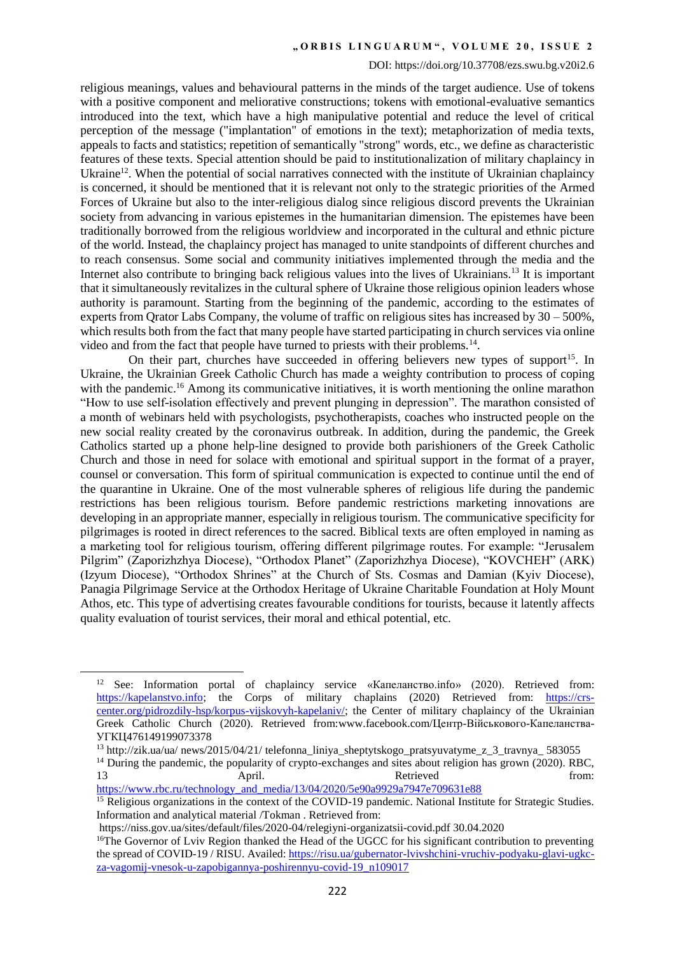### DOI: https://doi.org/10.37708/ezs.swu.bg.v20i2.6

religious meanings, values and behavioural patterns in the minds of the target audience. Use of tokens with a positive component and meliorative constructions; tokens with emotional-evaluative semantics introduced into the text, which have a high manipulative potential and reduce the level of critical perception of the message ("implantation" of emotions in the text); metaphorization of media texts, appeals to facts and statistics; repetition of semantically "strong" words, etc., we define as characteristic features of these texts. Special attention should be paid to institutionalization of military chaplaincy in Ukraine<sup>12</sup>. When the potential of social narratives connected with the institute of Ukrainian chaplaincy is concerned, it should be mentioned that it is relevant not only to the strategic priorities of the Armed Forces of Ukraine but also to the inter-religious dialog since religious discord prevents the Ukrainian society from advancing in various epistemes in the humanitarian dimension. The epistemes have been traditionally borrowed from the religious worldview and incorporated in the cultural and ethnic picture of the world. Instead, the chaplaincy project has managed to unite standpoints of different churches and to reach consensus. Some social and community initiatives implemented through the media and the Internet also contribute to bringing back religious values into the lives of Ukrainians.<sup>13</sup> It is important that it simultaneously revitalizes in the cultural sphere of Ukraine those religious opinion leaders whose authority is paramount. Starting from the beginning of the pandemic, according to the estimates of experts from Qrator Labs Company, the volume of traffic on religious sites has increased by 30 – 500%, which results both from the fact that many people have started participating in church services via online video and from the fact that people have turned to priests with their problems.<sup>14</sup>.

On their part, churches have succeeded in offering believers new types of support<sup>15</sup>. In Ukraine, the Ukrainian Greek Catholic Church has made a weighty contribution to process of coping with the pandemic.<sup>16</sup> Among its communicative initiatives, it is worth mentioning the online marathon "How to use self-isolation effectively and prevent plunging in depression". The marathon consisted of a month of webinars held with psychologists, psychotherapists, coaches who instructed people on the new social reality created by the coronavirus outbreak. In addition, during the pandemic, the Greek Catholics started up a phone help-line designed to provide both parishioners of the Greek Catholic Church and those in need for solace with emotional and spiritual support in the format of a prayer, counsel or conversation. This form of spiritual communication is expected to continue until the end of the quarantine in Ukraine. One of the most vulnerable spheres of religious life during the pandemic restrictions has been religious tourism. Before pandemic restrictions marketing innovations are developing in an appropriate manner, especially in religious tourism. The communicative specificity for pilgrimages is rooted in direct references to the sacred. Biblical texts are often employed in naming as a marketing tool for religious tourism, offering different pilgrimage routes. For example: "Jerusalem Pilgrim" (Zaporizhzhya Diocese), "Orthodox Planet" (Zaporizhzhya Diocese), "KOVCHEH" (ARK) (Izyum Diocese), "Orthodox Shrines" at the Church of Sts. Cosmas and Damian (Kyiv Diocese), Panagia Pilgrimage Service at the Orthodox Heritage of Ukraine Charitable Foundation at Holy Mount Athos, etc. This type of advertising creates favourable conditions for tourists, because it latently affects quality evaluation of tourist services, their moral and ethical potential, etc.

 $\overline{a}$ 

<sup>&</sup>lt;sup>12</sup> See: Information portal of chaplaincy service «Капеланство.info» (2020). Retrieved from: [https://kapelanstvo.info;](https://kapelanstvo.info/) the Corps of military chaplains (2020) Retrieved from: [https://crs](https://crs-center.org/pidrozdily-hsp/korpus-vijskovyh-kapelaniv/)[center.org/pidrozdily-hsp/korpus-vijskovyh-kapelaniv/;](https://crs-center.org/pidrozdily-hsp/korpus-vijskovyh-kapelaniv/) the Center of military chaplaincy of the Ukrainian Greek Catholic Church (2020). Retrieved from:www.facebook.com/Центр-Військового-Капеланства-УГКЦ476149199073378

<sup>13</sup> http://zik.ua/ua/ news/2015/04/21/ telefonna\_liniya\_sheptytskogo\_pratsyuvatyme\_z\_3\_travnya\_ 583055

 $14$  During the pandemic, the popularity of crypto-exchanges and sites about religion has grown (2020). RBC, 13 April. April. Retrieved from: [https://www.rbc.ru/technology\\_and\\_media/13/04/2020/5e90a9929a7947e709631e88](https://www.rbc.ru/technology_and_media/13/04/2020/5e90a9929a7947e709631e88)

<sup>&</sup>lt;sup>15</sup> Religious organizations in the context of the COVID-19 pandemic. National Institute for Strategic Studies. Information and analytical material /Tokman . Retrieved from:

https://niss.gov.ua/sites/default/files/2020-04/relegiyni-organizatsii-covid.pdf 30.04.2020

<sup>&</sup>lt;sup>16</sup>The Governor of Lviv Region thanked the Head of the UGCC for his significant contribution to preventing the spread of COVID-19 / RISU. Availed[: https://risu.ua/gubernator-lvivshchini-vruchiv-podyaku-glavi-ugkc](https://risu.ua/gubernator-lvivshchini-vruchiv-podyaku-glavi-ugkc-za-vagomij-vnesok-u-zapobigannya-poshirennyu-covid-19_n109017)[za-vagomij-vnesok-u-zapobigannya-poshirennyu-covid-19\\_n109017](https://risu.ua/gubernator-lvivshchini-vruchiv-podyaku-glavi-ugkc-za-vagomij-vnesok-u-zapobigannya-poshirennyu-covid-19_n109017)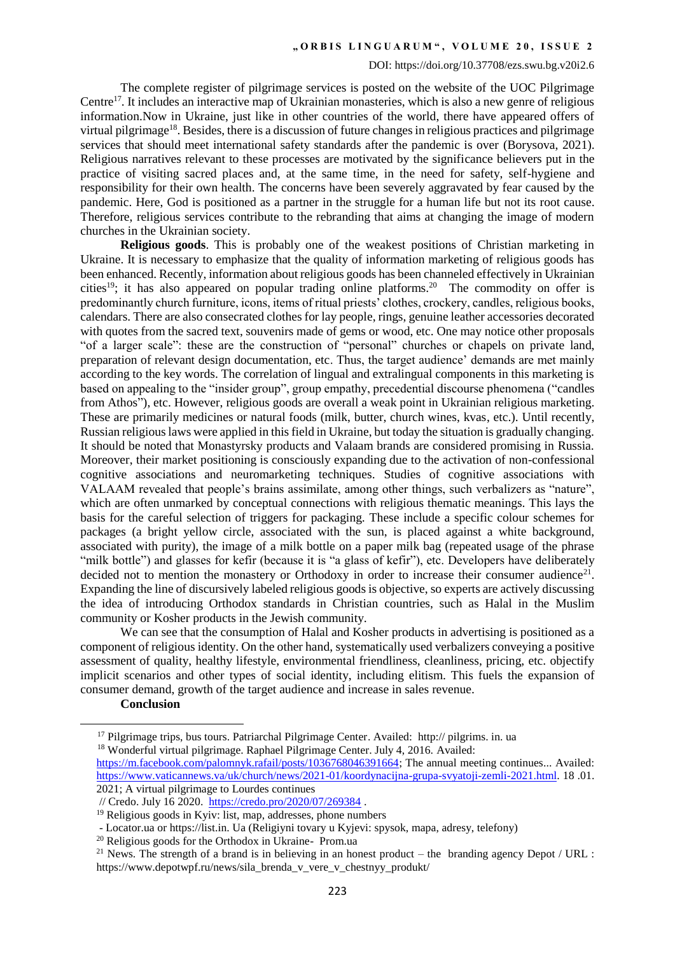### DOI: https://doi.org/10.37708/ezs.swu.bg.v20i2.6

The complete register of pilgrimage services is posted on the website of the UOC Pilgrimage Centre<sup>17</sup>. It includes an interactive map of Ukrainian monasteries, which is also a new genre of religious information.Now in Ukraine, just like in other countries of the world, there have appeared offers of virtual pilgrimage<sup>18</sup>. Besides, there is a discussion of future changes in religious practices and pilgrimage services that should meet international safety standards after the pandemic is over (Borysova, 2021). Religious narratives relevant to these processes are motivated by the significance believers put in the practice of visiting sacred places and, at the same time, in the need for safety, self-hygiene and responsibility for their own health. The concerns have been severely aggravated by fear caused by the pandemic. Here, God is positioned as a partner in the struggle for a human life but not its root cause. Therefore, religious services contribute to the rebranding that aims at changing the image of modern churches in the Ukrainian society.

**Religious goods**. This is probably one of the weakest positions of Christian marketing in Ukraine. It is necessary to emphasize that the quality of information marketing of religious goods has been enhanced. Recently, information about religious goods has been channeled effectively in Ukrainian cities<sup>19</sup>; it has also appeared on popular trading online platforms.<sup>20</sup> The commodity on offer is predominantly church furniture, icons, items of ritual priests' clothes, crockery, candles, religious books, calendars. There are also consecrated clothes for lay people, rings, genuine leather accessories decorated with quotes from the sacred text, souvenirs made of gems or wood, etc. One may notice other proposals "of a larger scale": these are the construction of "personal" churches or chapels on private land, preparation of relevant design documentation, etc. Thus, the target audience' demands are met mainly according to the key words. The correlation of lingual and extralingual components in this marketing is based on appealing to the "insider group", group empathy, precedential discourse phenomena ("candles from Athos"), etc. However, religious goods are overall a weak point in Ukrainian religious marketing. These are primarily medicines or natural foods (milk, butter, church wines, kvas, etc.). Until recently, Russian religious laws were applied in this field in Ukraine, but today the situation is gradually changing. It should be noted that Monastyrsky products and Valaam brands are considered promising in Russia. Moreover, their market positioning is consciously expanding due to the activation of non-confessional cognitive associations and neuromarketing techniques. Studies of cognitive associations with VALAAM revealed that people's brains assimilate, among other things, such verbalizers as "nature", which are often unmarked by conceptual connections with religious thematic meanings. This lays the basis for the careful selection of triggers for packaging. These include a specific colour schemes for packages (a bright yellow circle, associated with the sun, is placed against a white background, associated with purity), the image of a milk bottle on a paper milk bag (repeated usage of the phrase "milk bottle") and glasses for kefir (because it is "a glass of kefir"), etc. Developers have deliberately decided not to mention the monastery or Orthodoxy in order to increase their consumer audience<sup>21</sup>. Expanding the line of discursively labeled religious goods is objective, so experts are actively discussing the idea of introducing Orthodox standards in Christian countries, such as Halal in the Muslim community or Kosher products in the Jewish community.

We can see that the consumption of Halal and Kosher products in advertising is positioned as a component of religious identity. On the other hand, systematically used verbalizers conveying a positive assessment of quality, healthy lifestyle, environmental friendliness, cleanliness, pricing, etc. objectify implicit scenarios and other types of social identity, including elitism. This fuels the expansion of consumer demand, growth of the target audience and increase in sales revenue.

**Conclusion**

 $\overline{\phantom{a}}$ 

<sup>17</sup> Pilgrimage trips, bus tours. Patriarchal Pilgrimage Center. Availed: http:// pilgrims. in. ua

<sup>&</sup>lt;sup>18</sup> Wonderful virtual pilgrimage. Raphael Pilgrimage Center. July 4, 2016. Availed:

[https://m.facebook.com/palomnyk.rafail/posts/1036768046391664;](https://m.facebook.com/palomnyk.rafail/posts/1036768046391664) The annual meeting continues... Availed: [https://www.vaticannews.va/uk/church/news/2021-01/koordynacijna-grupa-svyatoji-zemli-2021.html.](https://www.vaticannews.va/uk/church/news/2021-01/koordynacijna-grupa-svyatoji-zemli-2021.html) 18 .01. 2021; A virtual pilgrimage to Lourdes continues

<sup>//</sup> Credo. July 16 2020. <https://credo.pro/2020/07/269384>.

 $19$  Religious goods in Kyiv: list, map, addresses, phone numbers

<sup>-</sup> Locator.ua or https://list.in. Ua (Religiyni tovary u Kyjevi: spysok, mapa, adresy, telefony)

<sup>20</sup> Religious goods for the Orthodox in Ukraine- Prom.ua

<sup>&</sup>lt;sup>21</sup> News. The strength of a brand is in believing in an honest product – the branding agency Depot / URL : https://www.depotwpf.ru/news/sila\_brenda\_v\_vere\_v\_chestnyy\_produkt/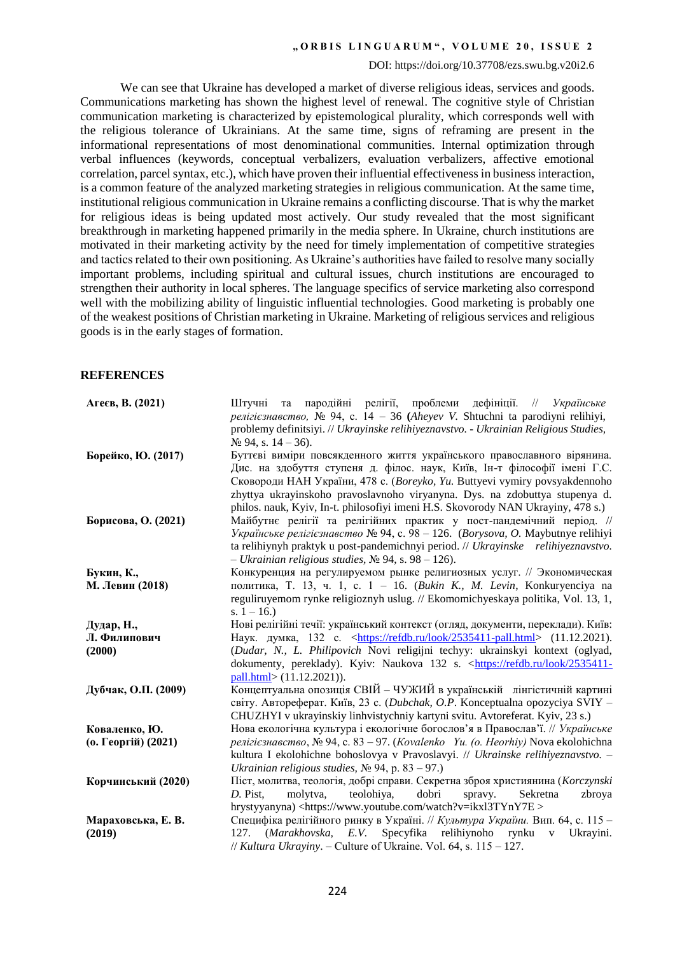#### DOI: https://doi.org/10.37708/ezs.swu.bg.v20i2.6

We can see that Ukraine has developed a market of diverse religious ideas, services and goods. Communications marketing has shown the highest level of renewal. The cognitive style of Christian communication marketing is characterized by epistemological plurality, which corresponds well with the religious tolerance of Ukrainians. At the same time, signs of reframing are present in the informational representations of most denominational communities. Internal optimization through verbal influences (keywords, conceptual verbalizers, evaluation verbalizers, affective emotional correlation, parcel syntax, etc.), which have proven their influential effectiveness in business interaction, is a common feature of the analyzed marketing strategies in religious communication. At the same time, institutional religious communication in Ukraine remains a conflicting discourse. That is why the market for religious ideas is being updated most actively. Our study revealed that the most significant breakthrough in marketing happened primarily in the media sphere. In Ukraine, church institutions are motivated in their marketing activity by the need for timely implementation of competitive strategies and tactics related to their own positioning. As Ukraine's authorities have failed to resolve many socially important problems, including spiritual and cultural issues, church institutions are encouraged to strengthen their authority in local spheres. The language specifics of service marketing also correspond well with the mobilizing ability of linguistic influential technologies. Good marketing is probably one of the weakest positions of Christian marketing in Ukraine. Marketing of religious services and religious goods is in the early stages of formation.

### **REFERENCES**

| Агеєв, В. (2021)    | пародійні релігії, проблеми дефініції. //<br>Українське<br>Штучні<br>та<br>релігієзнавство, № 94, с. 14 – 36 (Aheyev V. Shtuchni ta parodiyni relihiyi,<br>problemy definitsiyi. // Ukrayinske relihiyeznavstvo. - Ukrainian Religious Studies,<br>$N2$ 94, s. 14 – 36).                                                                                                                             |
|---------------------|------------------------------------------------------------------------------------------------------------------------------------------------------------------------------------------------------------------------------------------------------------------------------------------------------------------------------------------------------------------------------------------------------|
| Борейко, Ю. (2017)  | Буттєві виміри повсякденного життя українського православного вірянина.<br>Дис. на здобуття ступеня д. філос. наук, Київ, Ін-т філософії імені Г.С.<br>Сковороди НАН України, 478 с. (Boreyko, Yu. Buttyevi vymiry povsyakdennoho<br>zhyttya ukrayinskoho pravoslavnoho viryanyna. Dys. na zdobuttya stupenya d.<br>philos. nauk, Kyiv, In-t. philosofiyi imeni H.S. Skovorody NAN Ukrayiny, 478 s.) |
| Борисова, О. (2021) | Майбутнє релігії та релігійних практик у пост-пандемічний період. //<br>Українське релігієзнавство № 94, с. 98 – 126. (Borysova, O. Maybutnye relihiyi<br>ta relihiynyh praktyk u post-pandemichnyi period. // Ukrayinske relihiyeznavstvo.<br>$-$ Ukrainian religious studies, $\mathcal{N}$ 94, s. 98 – 126).                                                                                      |
| Букин, К.,          | Конкуренция на регулируемом рынке религиозных услуг. // Экономическая                                                                                                                                                                                                                                                                                                                                |
| М. Левин (2018)     | политика, Т. 13, ч. 1, с. 1 - 16. (Викіп К., М. Levin, Konkuryenciya na                                                                                                                                                                                                                                                                                                                              |
|                     | reguliruyemom rynke religioznyh uslug. // Ekomomichyeskaya politika, Vol. 13, 1,<br>s. $1 - 16$ .)                                                                                                                                                                                                                                                                                                   |
| Дудар, Н.,          | Нові релігійні течії: український контекст (огляд, документи, переклади). Київ:                                                                                                                                                                                                                                                                                                                      |
| Л. Филипович        | Наук. думка, 132 с. <https: 2535411-pall.html="" look="" refdb.ru=""> (11.12.2021).</https:>                                                                                                                                                                                                                                                                                                         |
| (2000)              | (Dudar, N., L. Philipovich Novi religijni techyy: ukrainskyi kontext (oglyad,<br>dokumenty, pereklady). Kyiv: Naukova 132 s. <https: 2535411-<br="" look="" refdb.ru="">pall.html&gt; (11.12.2021)).</https:>                                                                                                                                                                                        |
| Дубчак, О.П. (2009) | Концептуальна опозиція СВІЙ - ЧУЖИЙ в українській лінгістичній картині<br>світу. Автореферат. Київ, 23 с. (Dubchak, O.P. Konceptualna opozyciya SVIY -<br>CHUZHYI v ukrayinskiy linhvistychniy kartyni svitu. Avtoreferat. Kyiv, 23 s.)                                                                                                                                                              |
| Коваленко, Ю.       | Нова екологічна культура і екологічне богослов'я в Православ'ї. // Українське                                                                                                                                                                                                                                                                                                                        |
| (о. Георгій) (2021) | релігієзнавство, № 94, с. 83 – 97. (Kovalenko Yu. (о. Heorhiy) Nova ekolohichna                                                                                                                                                                                                                                                                                                                      |
|                     | kultura I ekolohichne bohoslovya v Pravoslavyi. // Ukrainske relihiyeznavstvo. -                                                                                                                                                                                                                                                                                                                     |
|                     | Ukrainian religious studies, $N_2$ 94, p. 83 - 97.)                                                                                                                                                                                                                                                                                                                                                  |
| Корчинський (2020)  | Піст, молитва, теологія, добрі справи. Секретна зброя християнина (Korczynski                                                                                                                                                                                                                                                                                                                        |
|                     | teolohiya,<br>dobri<br>molytva,<br>Sekretna<br>zbroya<br>D. Pist,<br>spravy.                                                                                                                                                                                                                                                                                                                         |
|                     | hrystyyanyna) <https: watch?v="ikxl3TYnY7E" www.youtube.com=""></https:>                                                                                                                                                                                                                                                                                                                             |
| Мараховська, Е. В.  | Специфіка релігійного ринку в Україні. // Культура України. Вип. 64, с. 115 -                                                                                                                                                                                                                                                                                                                        |
| (2019)              | Specyfika relihiynoho rynku<br>(Marakhovska, E.V.<br>127.<br>Ukrayini.<br>$\mathbf{V}$                                                                                                                                                                                                                                                                                                               |
|                     | // Kultura Ukrayiny. - Culture of Ukraine. Vol. 64, s. $115 - 127$ .                                                                                                                                                                                                                                                                                                                                 |